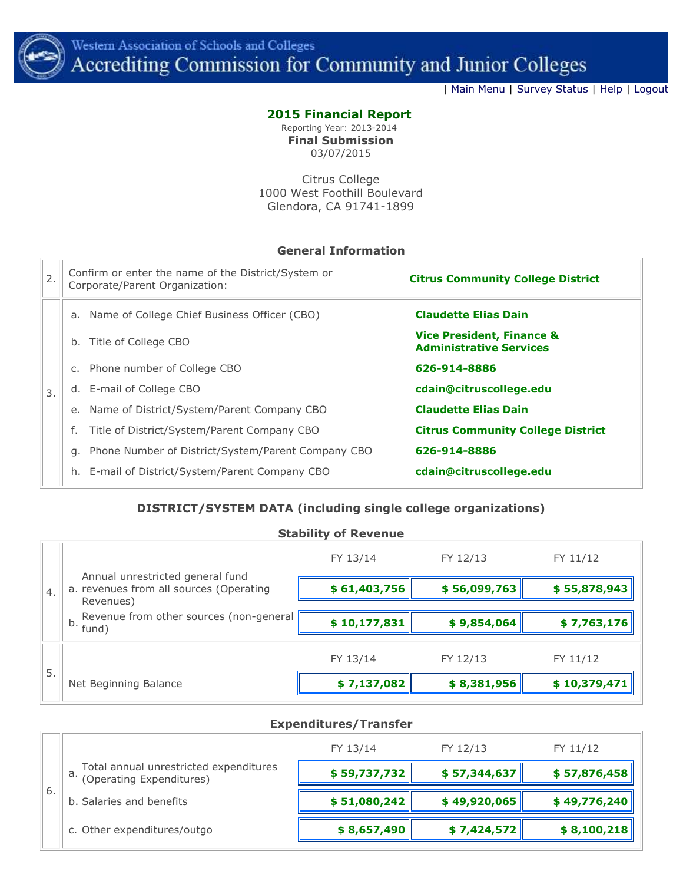

| [Main Menu](http://www.accjc.org/ac-admin/admin_home.php) | [Survey Status](http://www.accjc.org/ac-admin/survey_status.php) | [Help](http://www.accjc.org/ac-admin/help.php) | [Logout](http://www.accjc.org/ac-admin/logout.php)

## **2015 Financial Report**

Reporting Year: 2013-2014 **Final Submission** 03/07/2015

Citrus College 1000 West Foothill Boulevard Glendora, CA 91741-1899

## **General Information**

| 2. | Confirm or enter the name of the District/System or<br>Corporate/Parent Organization: | <b>Citrus Community College District</b>                               |
|----|---------------------------------------------------------------------------------------|------------------------------------------------------------------------|
|    | a. Name of College Chief Business Officer (CBO)                                       | <b>Claudette Elias Dain</b>                                            |
|    | Title of College CBO<br>b.                                                            | <b>Vice President, Finance &amp;</b><br><b>Administrative Services</b> |
|    | c. Phone number of College CBO                                                        | 626-914-8886                                                           |
| 3. | d. E-mail of College CBO                                                              | cdain@citruscollege.edu                                                |
|    | e. Name of District/System/Parent Company CBO                                         | <b>Claudette Elias Dain</b>                                            |
|    | Title of District/System/Parent Company CBO                                           | <b>Citrus Community College District</b>                               |
|    | g. Phone Number of District/System/Parent Company CBO                                 | 626-914-8886                                                           |
|    | h. E-mail of District/System/Parent Company CBO                                       | cdain@citruscollege.edu                                                |

## **DISTRICT/SYSTEM DATA (including single college organizations)**

|    | <b>Stability of Revenue</b>                                                              |                              |             |              |  |  |  |
|----|------------------------------------------------------------------------------------------|------------------------------|-------------|--------------|--|--|--|
| 4. |                                                                                          | FY 13/14<br>FY 12/13         |             | FY 11/12     |  |  |  |
|    | Annual unrestricted general fund<br>a. revenues from all sources (Operating<br>Revenues) | \$61,403,756<br>\$56,099,763 |             | \$55,878,943 |  |  |  |
|    | Revenue from other sources (non-general<br>b.<br>fund)                                   | \$10,177,831                 | \$9,854,064 | \$7,763,176  |  |  |  |
| 5. |                                                                                          | FY 13/14                     | FY 12/13    | FY 11/12     |  |  |  |
|    | Net Beginning Balance                                                                    | \$7,137,082                  | \$8,381,956 | \$10,379,471 |  |  |  |

#### **Expenditures/Transfer**

|    |                                                                          | FY 13/14<br>FY 12/13 |              | FY 11/12     |  |
|----|--------------------------------------------------------------------------|----------------------|--------------|--------------|--|
|    | a. Total annual unrestricted expenditures<br>a. (Operating Expenditures) | \$59,737,732         | \$57,344,637 | \$57,876,458 |  |
| 6. | b. Salaries and benefits                                                 | \$51,080,242         | \$49,920,065 | \$49,776,240 |  |
|    | c. Other expenditures/outgo                                              | \$8,657,490          | \$7,424,572  | \$8,100,218  |  |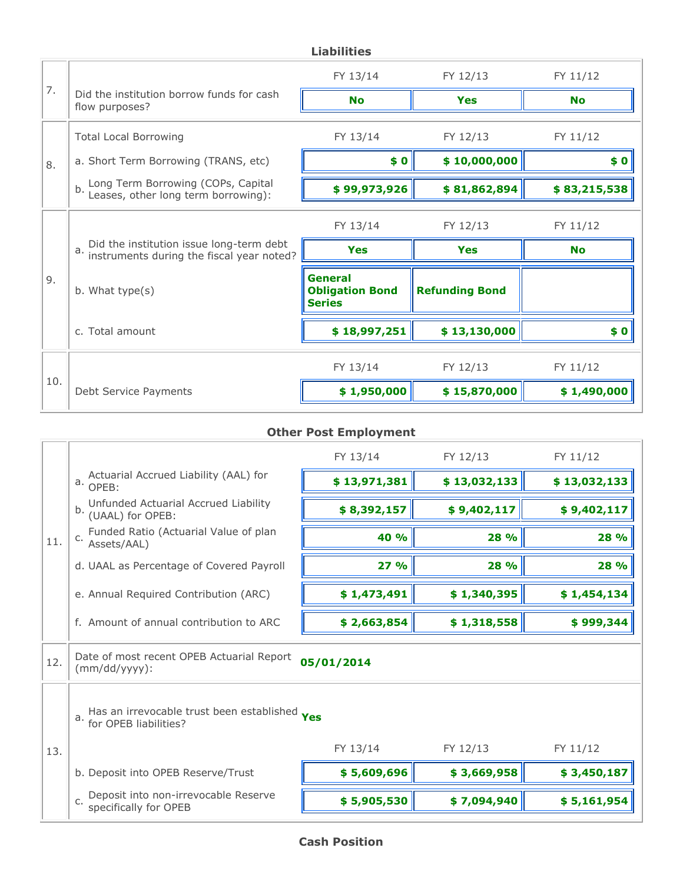|     | <b>Liabilities</b>                                                                          |                                                           |                       |              |  |  |
|-----|---------------------------------------------------------------------------------------------|-----------------------------------------------------------|-----------------------|--------------|--|--|
|     |                                                                                             | FY 13/14                                                  | FY 12/13              | FY 11/12     |  |  |
| 7.  | Did the institution borrow funds for cash<br>flow purposes?                                 | <b>No</b>                                                 | <b>Yes</b>            | <b>No</b>    |  |  |
|     | <b>Total Local Borrowing</b>                                                                | FY 13/14                                                  | FY 12/13              | FY 11/12     |  |  |
| 8.  | a. Short Term Borrowing (TRANS, etc)                                                        | \$0                                                       | \$10,000,000          | \$0          |  |  |
|     | Long Term Borrowing (COPs, Capital<br>Leases, other long term borrowing):<br>b.             | \$99,973,926                                              | \$81,862,894          | \$83,215,538 |  |  |
|     |                                                                                             | FY 13/14                                                  | FY 12/13              | FY 11/12     |  |  |
|     | Did the institution issue long-term debt<br>a.<br>instruments during the fiscal year noted? | <b>Yes</b>                                                | Yes                   | <b>No</b>    |  |  |
| 9.  | b. What type(s)                                                                             | <b>General</b><br><b>Obligation Bond</b><br><b>Series</b> | <b>Refunding Bond</b> |              |  |  |
|     | c. Total amount                                                                             | \$18,997,251                                              | \$13,130,000          | \$0          |  |  |
|     |                                                                                             | FY 13/14                                                  | FY 12/13              | FY 11/12     |  |  |
| 10. | Debt Service Payments                                                                       | \$1,950,000                                               | \$15,870,000          | \$1,490,000  |  |  |

# **Other Post Employment**

|     |                                                                                     | FY 13/14     | FY 12/13     | FY 11/12    |  |  |
|-----|-------------------------------------------------------------------------------------|--------------|--------------|-------------|--|--|
|     | Actuarial Accrued Liability (AAL) for<br>$a.$ OPEB:                                 | \$13,971,381 | \$13,032,133 |             |  |  |
|     | b. Unfunded Actuarial Accrued Liability<br>b. (UAAL) for OPEB:                      | \$8,392,157  | \$9,402,117  | \$9,402,117 |  |  |
| 11. | Funded Ratio (Actuarial Value of plan<br>C. Assets/AAL)                             | 40 %<br>28 % |              | 28 %        |  |  |
|     | d. UAAL as Percentage of Covered Payroll                                            | 27%          | 28 %         | 28 %        |  |  |
|     | e. Annual Required Contribution (ARC)                                               | \$1,473,491  | \$1,340,395  |             |  |  |
|     | f. Amount of annual contribution to ARC                                             | \$2,663,854  | \$1,318,558  | \$999,344   |  |  |
| 12. | Date of most recent OPEB Actuarial Report<br>05/01/2014<br>$(mm/dd/yyyy)$ :         |              |              |             |  |  |
|     | a. Has an irrevocable trust been established <b>Yes</b><br>a. for OPEB liabilities? |              |              |             |  |  |
| 13. |                                                                                     | FY 13/14     | FY 12/13     | FY 11/12    |  |  |
|     | b. Deposit into OPEB Reserve/Trust                                                  | \$5,609,696  | \$3,669,958  | \$3,450,187 |  |  |
|     | Deposit into non-irrevocable Reserve<br>specifically for OPEB<br>c.                 | \$5,905,530  | \$7,094,940  | \$5,161,954 |  |  |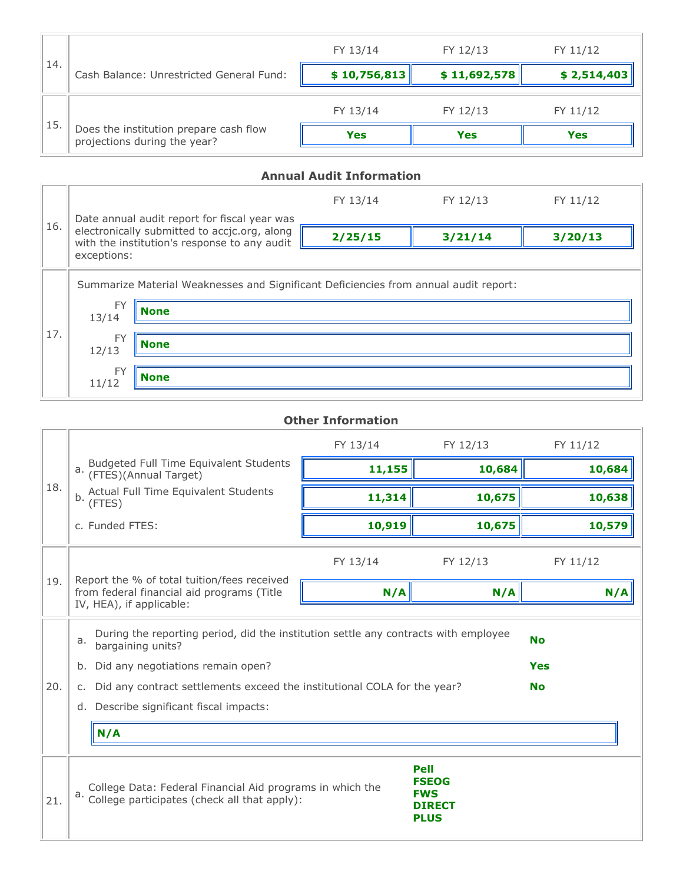|     |                                                                        | FY 13/14     | FY 12/13     | FY 11/12    |
|-----|------------------------------------------------------------------------|--------------|--------------|-------------|
| 14. | Cash Balance: Unrestricted General Fund:                               | \$10,756,813 | \$11,692,578 | \$2,514,403 |
|     |                                                                        | FY 13/14     | FY 12/13     | FY 11/12    |
| 15. | Does the institution prepare cash flow<br>projections during the year? | <b>Yes</b>   | <b>Yes</b>   | <b>Yes</b>  |

## **Annual Audit Information** 16. FY 13/14 FY 12/13 FY 11/12 Date annual audit report for fiscal year was electronically submitted to accjc.org, along with the institution's response to any audit exceptions: **2/25/15 3/21/14 3/20/13** 17. Summarize Material Weaknesses and Significant Deficiencies from annual audit report: FY 13/14 **None** FY 12/13 **None** FY 11/12 **None**

|     | <b>Other Information</b>                                                                                                                                                                                                                                                                                                                   |          |          |          |  |  |
|-----|--------------------------------------------------------------------------------------------------------------------------------------------------------------------------------------------------------------------------------------------------------------------------------------------------------------------------------------------|----------|----------|----------|--|--|
|     |                                                                                                                                                                                                                                                                                                                                            | FY 13/14 | FY 12/13 | FY 11/12 |  |  |
|     | Budgeted Full Time Equivalent Students<br>(FTES)(Annual Target)<br>a.                                                                                                                                                                                                                                                                      | 11,155   | 10,684   | 10,684   |  |  |
| 18. | Actual Full Time Equivalent Students<br>b.<br>(FTES)                                                                                                                                                                                                                                                                                       | 11,314   | 10,675   | 10,638   |  |  |
|     | c. Funded FTES:                                                                                                                                                                                                                                                                                                                            | 10,919   | 10,675   | 10,579   |  |  |
|     |                                                                                                                                                                                                                                                                                                                                            | FY 13/14 | FY 12/13 | FY 11/12 |  |  |
| 19. | Report the % of total tuition/fees received<br>from federal financial aid programs (Title<br>IV, HEA), if applicable:                                                                                                                                                                                                                      | N/A      | N/A      | N/A      |  |  |
| 20. | During the reporting period, did the institution settle any contracts with employee<br><b>No</b><br>a.<br>bargaining units?<br>Did any negotiations remain open?<br><b>Yes</b><br>b.<br>Did any contract settlements exceed the institutional COLA for the year?<br><b>No</b><br>$C_{\star}$<br>Describe significant fiscal impacts:<br>d. |          |          |          |  |  |
|     | N/A                                                                                                                                                                                                                                                                                                                                        |          |          |          |  |  |
| 21. | <b>Pell</b><br><b>FSEOG</b><br>College Data: Federal Financial Aid programs in which the<br><b>FWS</b><br>a.<br>College participates (check all that apply):<br><b>DIRECT</b><br><b>PLUS</b>                                                                                                                                               |          |          |          |  |  |